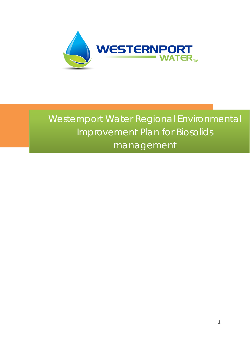

# Westernport Water Regional Environmental Improvement Plan for Biosolids management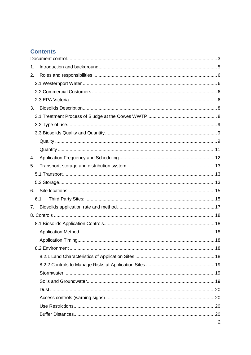# **Contents**

| 1. |     |                |
|----|-----|----------------|
| 2. |     |                |
|    |     |                |
|    |     |                |
|    |     |                |
| 3. |     |                |
|    |     |                |
|    |     |                |
|    |     |                |
|    |     |                |
|    |     |                |
| 4. |     |                |
| 5. |     |                |
|    |     |                |
|    |     |                |
| 6. |     |                |
|    | 6.1 |                |
| 7. |     |                |
|    |     |                |
|    |     |                |
|    |     |                |
|    |     |                |
|    |     |                |
|    |     |                |
|    |     |                |
|    |     |                |
|    |     |                |
|    |     |                |
|    |     |                |
|    |     |                |
|    |     |                |
|    |     | $\overline{2}$ |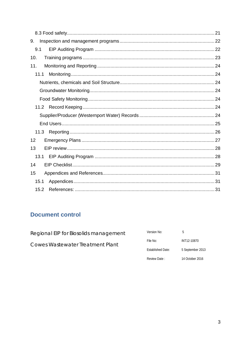| 9.   |  |
|------|--|
| 9.1  |  |
| 10.  |  |
| 11.  |  |
| 11.1 |  |
|      |  |
|      |  |
|      |  |
|      |  |
|      |  |
|      |  |
| 11.3 |  |
|      |  |
| 12   |  |
| 13   |  |
|      |  |
| 14   |  |
| 15   |  |
| 15.1 |  |

# <span id="page-2-0"></span>**Document control**

| Version No:       | h                |
|-------------------|------------------|
| File No:          | INT12-10870      |
| Established Date: | 5 September 2013 |
|                   |                  |

Review Date:

14 October 2016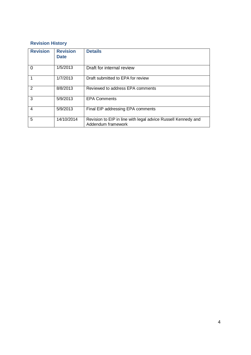### **Revision History**

| <b>Revision</b> | <b>Revision</b><br><b>Date</b> | <b>Details</b>                                                                      |
|-----------------|--------------------------------|-------------------------------------------------------------------------------------|
| 0               | 1/5/2013                       | Draft for internal review                                                           |
|                 | 1/7/2013                       | Draft submitted to EPA for review                                                   |
| $\overline{2}$  | 8/8/2013                       | Reviewed to address EPA comments                                                    |
| 3               | 5/9/2013                       | <b>EPA Comments</b>                                                                 |
| $\overline{4}$  | 5/9/2013                       | Final EIP addressing EPA comments                                                   |
| 5               | 14/10/2014                     | Revision to EIP in line with legal advice Russell Kennedy and<br>Addendum framework |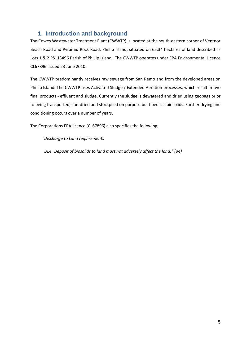# <span id="page-4-0"></span>**1. Introduction and background**

The Cowes Wastewater Treatment Plant (CWWTP) is located at the south-eastern corner of Ventnor Beach Road and Pyramid Rock Road, Phillip Island; situated on 65.34 hectares of land described as Lots 1 & 2 PS113496 Parish of Phillip Island. The CWWTP operates under EPA Environmental Licence CL67896 issued 23 June 2010.

The CWWTP predominantly receives raw sewage from San Remo and from the developed areas on Phillip Island. The CWWTP uses Activated Sludge / Extended Aeration processes, which result in two final products - effluent and sludge. Currently the sludge is dewatered and dried using geobags prior to being transported; sun-dried and stockpiled on purpose built beds as biosolids. Further drying and conditioning occurs over a number of years.

The Corporations EPA licence (CL67896) also specifies the following;

*"Discharge to Land requirements*

 *DL4 Deposit of biosolids to land must not adversely affect the land." (p4)*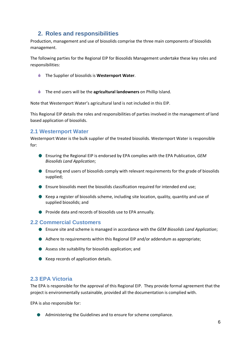# <span id="page-5-0"></span>**2. Roles and responsibilities**

Production, management and use of biosolids comprise the three main components of biosolids management.

The following parties for the Regional EIP for Biosolids Management undertake these key roles and responsibilities:

- The Supplier of biosolids is **Westernport Water**.
- **The end users will be the agricultural landowners** on Phillip Island.

Note that Westernport Water's agricultural land is not included in this EIP.

This Regional EIP details the roles and responsibilities of parties involved in the management of land based application of biosolids.

### <span id="page-5-1"></span>**2.1 Westernport Water**

Westernport Water is the bulk supplier of the treated biosolids. Westernport Water is responsible for:

- Ensuring the Regional EIP is endorsed by EPA complies with the EPA Publication, *GEM Biosolids Land Application*;
- Ensuring end users of biosolids comply with relevant requirements for the grade of biosolids supplied;
- **Ensure biosolids meet the biosolids classification required for intended end use;**
- Keep a register of biosolids scheme, including site location, quality, quantity and use of supplied biosolids; and
- **P** Provide data and records of biosolids use to EPA annually.

#### <span id="page-5-2"></span>**2.2 Commercial Customers**

- Ensure site and scheme is managed in accordance with the *GEM Biosolids Land Application*;
- Adhere to requirements within this Regional EIP and/or addendum as appropriate;
- Assess site suitability for biosolids application; and
- Keep records of application details.

#### <span id="page-5-3"></span>**2.3 EPA Victoria**

The EPA is responsible for the approval of this Regional EIP. They provide formal agreement that the project is environmentally sustainable, provided all the documentation is complied with.

EPA is also responsible for:

Administering the Guidelines and to ensure for scheme compliance.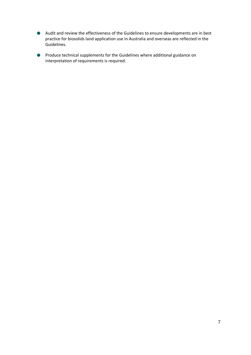- Audit and review the effectiveness of the Guidelines to ensure developments are in best practice for biosolids land application use in Australia and overseas are reflected in the Guidelines.
- Produce technical supplements for the Guidelines where additional guidance on **COL** interpretation of requirements is required.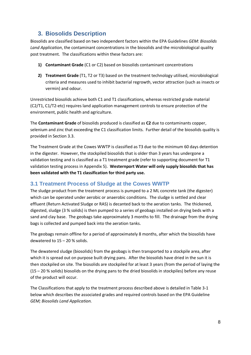# <span id="page-7-0"></span>**3. Biosolids Description**

Biosolids are classified based on two independent factors within the EPA Guidelines *GEM: Biosolids Land Application*, the contaminant concentrations in the biosolids and the microbiological quality post treatment. The classifications within these factors are:

- **1) Contaminant Grade** (C1 or C2) based on biosolids contaminant concentrations
- **2) Treatment Grade** (T1, T2 or T3) based on the treatment technology utilised, microbiological criteria and measures used to inhibit bacterial regrowth, vector attraction (such as insects or vermin) and odour.

Unrestricted biosolids achieve both C1 and T1 classifications, whereas restricted grade material (C2/T1, C1/T2-etc) requires land application management controls to ensure protection of the environment, public health and agriculture.

The **Contaminant Grade** of biosolids produced is classified as **C2** due to contaminants copper, selenium and zinc that exceeding the C1 classification limits. Further detail of the biosolids quality is provided in Section 3.3.

The Treatment Grade at the Cowes WWTP is classified as T3 due to the minimum 60 days detention in the digester. However, the stockpiled biosolids that is older than 3 years has undergone a validation testing and is classified as a T1 treatment grade (refer to supporting document for T1 validation testing process in Appendix 5). **Westernport Water will only supply biosolids that has been validated with the T1 classification for third party use.**

### <span id="page-7-1"></span>**3.1 Treatment Process of Sludge at the Cowes WWTP**

The sludge product from the treatment process is pumped to a 2 ML concrete tank (the digester) which can be operated under aerobic or anaerobic conditions. The sludge is settled and clear effluent (Return Activated Sludge or RAS) is decanted back to the aeration tanks. The thickened, digested, sludge (3 % solids) is then pumped to a series of geobags installed on drying beds with a sand and clay base. The geobags take approximately 3 months to fill. The drainage from the drying bags is collected and pumped back into the aeration tanks.

The geobags remain offline for a period of approximately 8 months, after which the biosolids have dewatered to 15 – 20 % solids.

The dewatered sludge (biosolids) from the geobags is then transported to a stockpile area, after which it is spread out on purpose built drying pans. After the biosolids have dried in the sun it is then stockpiled on site. The biosolids are stockpiled for at least 3 years (from the period of laying the (15 – 20 % solids) biosolids on the drying pans to the dried biosolids in stockpiles) before any reuse of the product will occur.

The Classifications that apply to the treatment process described above is detailed in Table 3-1 below which describes the associated grades and required controls based on the EPA Guideline *GEM; Biosolids Land Application.*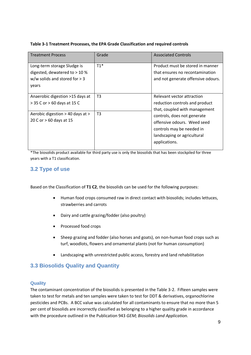| Table 3-1 Treatment Processes, the EPA Grade Classification and required controls |  |  |
|-----------------------------------------------------------------------------------|--|--|
|                                                                                   |  |  |

| <b>Treatment Process</b>                                                                                   | Grade          | <b>Associated Controls</b>                                                                                                              |
|------------------------------------------------------------------------------------------------------------|----------------|-----------------------------------------------------------------------------------------------------------------------------------------|
| Long-term storage Sludge is<br>digested, dewatered to $>$ 10 %<br>w/w solids and stored for $>$ 3<br>years | $T1*$          | Product must be stored in manner<br>that ensures no recontamination<br>and not generate offensive odours.                               |
| Anaerobic digestion >15 days at<br>$>$ 35 C or $>$ 60 days at 15 C                                         | T3             | Relevant vector attraction<br>reduction controls and product<br>that, coupled with management                                           |
| Aerobic digestion > 40 days at ><br>20 C or > 60 days at 15                                                | T <sub>3</sub> | controls, does not generate<br>offensive odours. Weed seed<br>controls may be needed in<br>landscaping or agricultural<br>applications. |

\*The biosolids product available for third party use is only the biosolids that has been stockpiled for three years with a T1 classification.

# <span id="page-8-0"></span>**3.2 Type of use**

Based on the Classification of **T1 C2**, the biosolids can be used for the following purposes:

- Human food crops consumed raw in direct contact with biosolids; includes lettuces, strawberries and carrots
- Dairy and cattle grazing/fodder (also poultry)
- Processed food crops
- Sheep grazing and fodder (also horses and goats), on non-human food crops such as turf, woodlots, flowers and ornamental plants (not for human consumption)
- Landscaping with unrestricted public access, forestry and land rehabilitation

### <span id="page-8-1"></span>**3.3 Biosolids Quality and Quantity**

#### <span id="page-8-2"></span>**Quality**

The contaminant concentration of the biosolids is presented in the Table 3-2. Fifteen samples were taken to test for metals and ten samples were taken to test for DDT & derivatives, organochlorine pesticides and PCBs. A BCC value was calculated for all contaminants to ensure that no more than 5 per cent of biosolids are incorrectly classified as belonging to a higher quality grade in accordance with the procedure outlined in the Publication 943 *GEM; Biosolids Land Application.*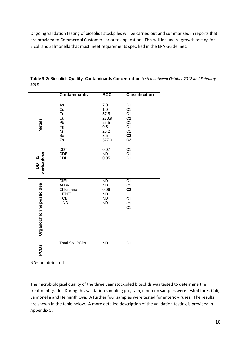Ongoing validation testing of biosolids stockpiles will be carried out and summarised in reports that are provided to Commercial Customers prior to application. This will include re-growth testing for E.coli and Salmonella that must meet requirements specified in the EPA Guidelines.

|                           | <b>Contaminants</b>                                                                  | <b>BCC</b>                                                                  | <b>Classification</b>                                                                                                                       |
|---------------------------|--------------------------------------------------------------------------------------|-----------------------------------------------------------------------------|---------------------------------------------------------------------------------------------------------------------------------------------|
| <b>Metals</b>             | As<br>Cd<br>Cr<br>Cu<br>Pb<br>Hg<br>Ni<br>Se<br>Zn                                   | 7.0<br>1.0<br>57.5<br>278.9<br>25.5<br>0.5<br>26.2<br>3.5<br>577.0          | $\overline{C1}$<br>C <sub>1</sub><br>C <sub>1</sub><br>C <sub>2</sub><br>C <sub>1</sub><br>C <sub>1</sub><br>$C1$<br>$C2$<br>C <sub>2</sub> |
| derivatives<br>DDT&       | <b>DDT</b><br><b>DDE</b><br><b>DDD</b>                                               | 0.07<br><b>ND</b><br>0.05                                                   | C <sub>1</sub><br>C <sub>1</sub><br>C <sub>1</sub>                                                                                          |
| Organochlorine pesticides | <b>DIEL</b><br><b>ALDR</b><br>Chlordane<br><b>HEPEP</b><br><b>HCB</b><br><b>LIND</b> | $\overline{ND}$<br><b>ND</b><br>0.06<br><b>ND</b><br><b>ND</b><br><b>ND</b> | C <sub>1</sub><br>C <sub>1</sub><br>C <sub>2</sub><br>C <sub>1</sub><br>C <sub>1</sub><br>C <sub>1</sub>                                    |
| <b>PCBs</b>               | <b>Total Soil PCBs</b>                                                               | <b>ND</b>                                                                   | $\overline{C1}$                                                                                                                             |

**Table 3-2: Biosolids Quality- Contaminants Concentration** *tested between October 2012 and February 2013*

ND= not detected

The microbiological quality of the three year stockpiled biosolids was tested to determine the treatment grade. During this validation sampling program, nineteen samples were tested for E. Coli, Salmonella and Helminth Ova. A further four samples were tested for enteric viruses. The results are shown in the table below. A more detailed description of the validation testing is provided in Appendix 5.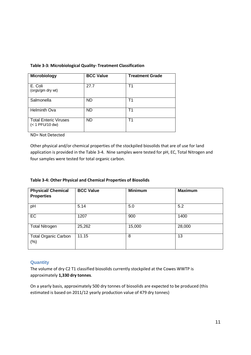| <b>Microbiology</b>                             | <b>BCC Value</b> | <b>Treatment Grade</b> |
|-------------------------------------------------|------------------|------------------------|
| E. Coli<br>(orgs/gm dry wt)                     | 27.7             | Τ1                     |
| Salmonella                                      | <b>ND</b>        | Τ1                     |
| <b>Helminth Ova</b>                             | ND.              | Τ1                     |
| <b>Total Enteric Viruses</b><br>(< 1 PFU/10 dw) | <b>ND</b>        | Т1                     |

ND= Not Detected

Other physical and/or chemical properties of the stockpiled biosolids that are of use for land application is provided in the Table 3-4. Nine samples were tested for pH, EC, Total Nitrogen and four samples were tested for total organic carbon.

| <b>Physical/ Chemical</b><br><b>Properties</b> | <b>BCC Value</b> | <b>Minimum</b> | <b>Maximum</b> |
|------------------------------------------------|------------------|----------------|----------------|
| pH                                             | 5.14             | 5.0            | 5.2            |
| <b>EC</b>                                      | 1207             | 900            | 1400           |
| <b>Total Nitrogen</b>                          | 25,262           | 15,000         | 28,000         |
| <b>Total Organic Carbon</b><br>$(\%)$          | 11.15            | 8              | 13             |

#### <span id="page-10-0"></span>**Quantity**

The volume of dry C2 T1 classified biosolids currently stockpiled at the Cowes WWTP is approximately **1,330 dry tonnes**.

On a yearly basis, approximately 500 dry tonnes of biosolids are expected to be produced (this estimated is based on 2011/12 yearly production value of 479 dry tonnes)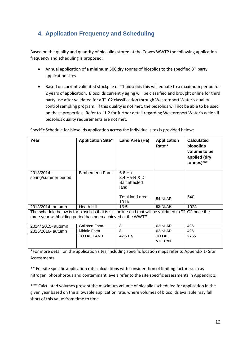# <span id="page-11-0"></span>**4. Application Frequency and Scheduling**

Based on the quality and quantity of biosolids stored at the Cowes WWTP the following application frequency and scheduling is proposed:

- Annual application of a **minimum** 500 dry tonnes of biosolids to the specified 3<sup>rd</sup> party application sites
- Based on current validated stockpile of T1 biosolids this will equate to a maximum period for 2 years of application. Biosolids currently aging will be classified and brought online for third party use after validated for a T1 C2 classification through Westernport Water's quality control sampling program. If this quality is not met, the biosolids will not be able to be used on these properties. Refer to 11.2 for further detail regarding Westernport Water's action if biosolids quality requirements are not met.

Specific Schedule for biosolids application across the individual sites is provided below:

| Year                                                                                                  | <b>Application Site*</b> | Land Area (Ha)                                  | <b>Application</b><br>Rate**  | <b>Calculated</b><br>biosolids<br>volume to be<br>applied (dry<br>tonnes)*** |  |
|-------------------------------------------------------------------------------------------------------|--------------------------|-------------------------------------------------|-------------------------------|------------------------------------------------------------------------------|--|
| 2013/2014-<br>spring/summer period                                                                    | Bimberdeen Farm          | 6.6 Ha<br>3.4 Ha-R & D<br>Salt affected<br>land |                               |                                                                              |  |
|                                                                                                       |                          | Total land area -<br>10 Ha                      | 54-NLAR                       | 540                                                                          |  |
| 2013/2014- autumn                                                                                     | Heath Hill               | 16.5                                            | 62-NLAR                       | 1023                                                                         |  |
| The schedule below is for biosolids that is still online and that will be validated to T1 C2 once the |                          |                                                 |                               |                                                                              |  |
| three year withholding period has been achieved at the WWTP.                                          |                          |                                                 |                               |                                                                              |  |
| 2014/2015- autumn                                                                                     | Gallaren Farm-           | 8                                               | 62-NLAR                       | 496                                                                          |  |
| 2015/2016- autumn                                                                                     | Middle Farm              | 8                                               | 62-NLAR                       | 496                                                                          |  |
|                                                                                                       | <b>TOTAL LAND</b>        | 42.5 Ha                                         | <b>TOTAL</b><br><b>VOLUME</b> | 2755                                                                         |  |

\*For more detail on the application sites, including specific location maps refer to Appendix 1- Site Assessments

\*\* For site specific application rate calculations with consideration of limiting factors such as nitrogen, phosphorous and contaminant levels refer to the site specific assessments in Appendix 1.

\*\*\* Calculated volumes present the maximum volume of biosolids scheduled for application in the given year based on the allowable application rate, where volumes of biosolids available may fall short of this value from time to time.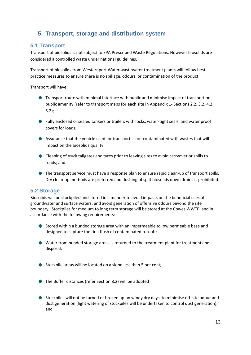# <span id="page-12-0"></span>**5. Transport, storage and distribution system**

### <span id="page-12-1"></span>**5.1 Transport**

Transport of biosolids is not subject to EPA Prescribed Waste Regulations. However biosolids are considered a controlled waste under national guidelines.

Transport of biosolids from Westernport Water wastewater treatment plants will follow best practice measures to ensure there is no spillage, odours, or contamination of the product.

Transport will have;

- Transport route with minimal interface with public and minimise impact of transport on public amenity (refer to transport maps for each site in Appendix 1- Sections 2.2, 3.2, 4.2, 5.2);
- Fully enclosed or sealed tankers or trailers with locks, water-tight seals, and water proof covers for loads;
- Assurance that the vehicle used for transport is not contaminated with wastes that will impact on the biosolids quality
- Cleaning of truck tailgates and tyres prior to leaving sites to avoid carryover or spills to roads; and
- The transport service must have a response plan to ensure rapid clean-up of transport spills. Dry clean-up methods are preferred and flushing of spilt biosolids down drains is prohibited.

### <span id="page-12-2"></span>**5.2 Storage**

Biosolids will be stockpiled and stored in a manner to avoid impacts on the beneficial uses of groundwater and surface waters, and avoid generation of offensive odours beyond the site boundary. Stockpiles for medium to long term storage will be stored at the Cowes WWTP, and in accordance with the following requirements:

- Stored within a bunded storage area with an impermeable to low permeable base and designed to capture the first flush of contaminated run-off;
- Water from bunded storage areas is returned to the treatment plant for treatment and disposal.
- Stockpile areas will be located on a slope less than 5 per cent;
- The Buffer distances (refer Section 8.2) will be adopted
- Stockpiles will not be turned or broken up on windy dry days, to minimise off-site odour and dust generation (light watering of stockpiles will be undertaken to control dust generation); and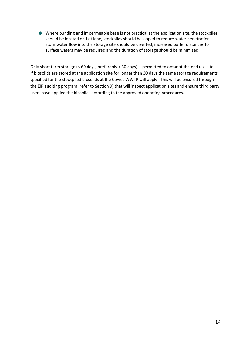Where bunding and impermeable base is not practical at the application site, the stockpiles should be located on flat land, stockpiles should be sloped to reduce water penetration, stormwater flow into the storage site should be diverted, increased buffer distances to surface waters may be required and the duration of storage should be minimised

Only short term storage (< 60 days, preferably < 30 days) is permitted to occur at the end use sites. If biosolids are stored at the application site for longer than 30 days the same storage requirements specified for the stockpiled biosolids at the Cowes WWTP will apply. This will be ensured through the EIP auditing program (refer to Section 9) that will inspect application sites and ensure third party users have applied the biosolids according to the approved operating procedures.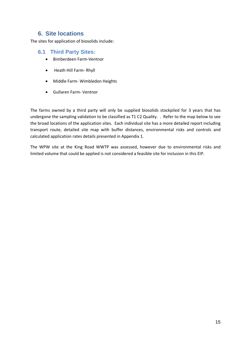# <span id="page-14-0"></span>**6. Site locations**

The sites for application of biosolids include:

#### <span id="page-14-1"></span>**6.1 Third Party Sites:**

- Bimberdeen Farm-Ventnor
- Heath Hill Farm- Rhyll
- Middle Farm- Wimbledon Heights
- Gullaren Farm- Ventnor

The farms owned by a third party will only be supplied biosolids stockpiled for 3 years that has undergone the sampling validation to be classified as T1 C2 Quality. . Refer to the map below to see the broad locations of the application sites. Each individual site has a more detailed report including transport route, detailed site map with buffer distances, environmental risks and controls and calculated application rates details presented in Appendix 1.

The WPW site at the King Road WWTP was assessed, however due to environmental risks and limited volume that could be applied is not considered a feasible site for inclusion in this EIP.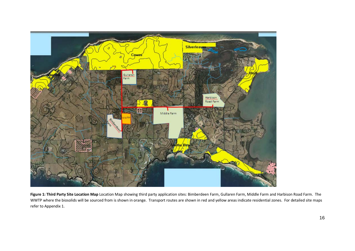

Figure 1: Third Party Site Location Map Location Map showing third party application sites: Bimberdeen Farm, Gullaren Farm, Middle Farm and Harbison Road Farm. The WWTP where the biosolids will be sourced from is shown in orange. Transport routes are shown in red and yellow areas indicate residential zones. For detailed site maps refer to Appendix 1.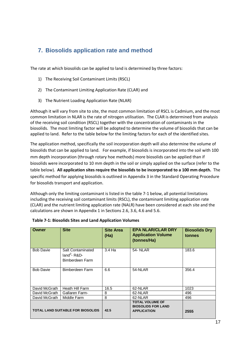# <span id="page-16-0"></span>**7. Biosolids application rate and method**

The rate at which biosolids can be applied to land is determined by three factors:

- 1) The Receiving Soil Contaminant Limits (RSCL)
- 2) The Contaminant Limiting Application Rate (CLAR) and
- 3) The Nutrient Loading Application Rate (NLAR)

Although it will vary from site to site, the most common limitation of RSCL is Cadmium, and the most common limitation in NLAR is the rate of nitrogen utilisation. The CLAR is determined from analysis of the receiving soil condition (RSCL) together with the concentration of contaminants in the biosolids. The most limiting factor will be adopted to determine the volume of biosolids that can be applied to land. Refer to the table below for the limiting factors for each of the identified sites.

The application method, specifically the soil incorporation depth will also determine the volume of biosolids that can be applied to land. For example, if biosolids is incorporated into the soil with 100 mm depth incorporation (through rotary hoe methods) more biosolids can be applied than if biosolids were incorporated to 10 mm depth in the soil or simply applied on the surface (refer to the table below). **All application sites require the biosolids to be incorporated to a 100 mm depth.** The specific method for applying biosolids is outlined in Appendix 3 in the Standard Operating Procedure for biosolids transport and application.

Although only the limiting contaminant is listed in the table 7-1 below, all potential limitations including the receiving soil contaminant limits (RSCL), the contaminant limiting application rate (CLAR) and the nutrient limiting application rate (NALR) have been considered at each site and the calculations are shown in Appendix 1 in Sections 2.6, 3.6, 4.6 and 5.6.

| Owner                                    | <b>Site</b>                                            | <b>Site Area</b><br>(Ha) | <b>EPA NLAR/CLAR DRY</b><br><b>Application Volume</b><br>(tonnes/Ha)      | <b>Biosolids Dry</b><br>tonnes |
|------------------------------------------|--------------------------------------------------------|--------------------------|---------------------------------------------------------------------------|--------------------------------|
| <b>Bob Davie</b>                         | Salt Contaminated<br>$land3$ - R&D-<br>Bimberdeen Farm | 3.4 Ha                   | <b>54- NLAR</b>                                                           | 183.6                          |
| <b>Bob Davie</b>                         | Bimberdeen Farm                                        | 6.6                      | 54-NLAR                                                                   | 356.4                          |
| David McGrath                            | Heath Hill Farm                                        | 16.5                     | 62-NLAR                                                                   | 1023                           |
| David McGrath                            | Gallaren Farm-                                         | 8                        | 62-NLAR                                                                   | 496                            |
| David McGrath                            | Middle Farm                                            | 8                        | 62-NLAR                                                                   | 496                            |
| <b>TOTAL LAND SUITABLE FOR BIOSOLIDS</b> |                                                        | 42.5                     | <b>TOTAL VOLUME OF</b><br><b>BIOSOLIDS FOR LAND</b><br><b>APPLICATION</b> | 2555                           |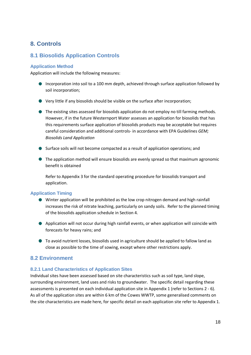# <span id="page-17-0"></span>**8. Controls**

### <span id="page-17-1"></span>**8.1 Biosolids Application Controls**

#### <span id="page-17-2"></span>**Application Method**

Application will include the following measures:

- **Incorporation into soil to a 100 mm depth, achieved through surface application followed by** soil incorporation;
- Very little if any biosolids should be visible on the surface after incorporation;
- The existing sites assessed for biosolids application do not employ no till farming methods. However, if in the future Westernport Water assesses an application for biosolids that has this requirements surface application of biosolids products may be acceptable but requires careful consideration and additional controls- in accordance with EPA Guidelines *GEM; Biosolids Land Application*
- Surface soils will not become compacted as a result of application operations; and
- The application method will ensure biosolids are evenly spread so that maximum agronomic benefit is obtained

Refer to Appendix 3 for the standard operating procedure for biosolids transport and application.

#### <span id="page-17-3"></span>**Application Timing**

- Winter application will be prohibited as the low crop nitrogen demand and high rainfall increases the risk of nitrate leaching, particularly on sandy soils. Refer to the planned timing of the biosolids application schedule in Section 4.
- Application will not occur during high rainfall events, or when application will coincide with forecasts for heavy rains; and
- To avoid nutrient losses, biosolids used in agriculture should be applied to fallow land as close as possible to the time of sowing, except where other restrictions apply.

#### <span id="page-17-4"></span>**8.2 Environment**

#### <span id="page-17-5"></span>**8.2.1 Land Characteristics of Application Sites**

Individual sites have been assessed based on site characteristics such as soil type, land slope, surrounding environment, land uses and risks to groundwater. The specific detail regarding these assessments is presented on each individual application site in Appendix 1 (refer to Sections 2 - 6). As all of the application sites are within 6 km of the Cowes WWTP, some generalised comments on the site characteristics are made here, for specific detail on each application site refer to Appendix 1.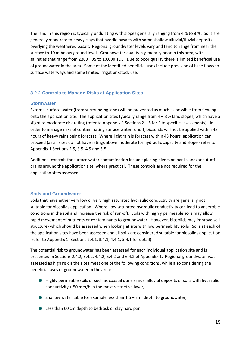The land in this region is typically undulating with slopes generally ranging from 4 % to 8 %. Soils are generally moderate to heavy clays that overlie basalts with some shallow alluvial/fluvial deposits overlying the weathered basalt. Regional groundwater levels vary and tend to range from near the surface to 10 m below ground level. Groundwater quality is generally poor in this area, with salinities that range from 2300 TDS to 10,000 TDS. Due to poor quality there is limited beneficial use of groundwater in the area. Some of the identified beneficial uses include provision of base flows to surface waterways and some limited irrigation/stock use.

#### <span id="page-18-0"></span>**8.2.2 Controls to Manage Risks at Application Sites**

#### <span id="page-18-1"></span>**Stormwater**

External surface water (from surrounding land) will be prevented as much as possible from flowing onto the application site. The application sites typically range from  $4 - 8$  % land slopes, which have a slight to moderate risk rating (refer to Appendix 1 Sections 2 – 6 for Site specific assessments). In order to manage risks of contaminating surface water runoff, biosolids will not be applied within 48 hours of heavy rains being forecast. Where light rain is forecast within 48 hours, application can proceed (as all sites do not have ratings above moderate for hydraulic capacity and slope - refer to Appendix 1 Sections 2.5, 3.5, 4.5 and 5.5).

Additional controls for surface water contamination include placing diversion banks and/or cut-off drains around the application site, where practical. These controls are not required for the application sites assessed.

#### <span id="page-18-2"></span>**Soils and Groundwater**

Soils that have either very low or very high saturated hydraulic conductivity are generally not suitable for biosolids application. Where, low saturated hydraulic conductivity can lead to anaerobic conditions in the soil and increase the risk of run-off. Soils with highly permeable soils may allow rapid movement of nutrients or contaminants to groundwater. However, biosolids may improve soil structure- which should be assessed when looking at site with low permeability soils. Soils at each of the application sites have been assessed and all soils are considered suitable for biosolids application (refer to Appendix 1- Sections 2.4.1, 3.4.1, 4.4.1, 5.4.1 for detail)

The potential risk to groundwater has been assessed for each individual application site and is presented in Sections 2.4.2, 3.4.2, 4.4.2, 5.4.2 and 6.4.2 of Appendix 1. Regional groundwater was assessed as high risk if the sites meet one of the following conditions, while also considering the beneficial uses of groundwater in the area:

- Highly permeable soils or such as coastal dune sands, alluvial deposits or soils with hydraulic conductivity > 50 mm/h in the most restrictive layer;
- $\bullet$  Shallow water table for example less than  $1.5 3$  m depth to groundwater;
- **Example 2** Less than 60 cm depth to bedrock or clay hard pan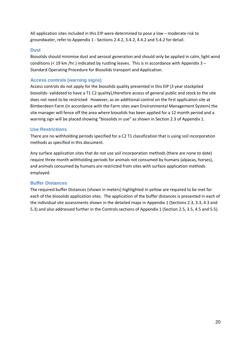All application sites included in this EIP were determined to pose a low – moderate risk to groundwater, refer to Appendix 1 - Sections 2.4.2, 3.4.2, 4.4.2 and 5.4.2 for detail.

#### <span id="page-19-0"></span>**Dust**

Biosolids should minimise dust and aerosol generation and should only be applied in calm, light wind conditions ( $\lt 19$  km /hr.) indicated by rustling leaves. This is in accordance with Appendix 3 – Standard Operating Procedure for Biosolids transport and Application.

#### <span id="page-19-1"></span>**Access controls (warning signs)**

Access controls do not apply for the biosolids quality presented in this EIP (3 year stockpiled biosolids- validated to have a T1 C2 quality),therefore access of general public and stock to the site does not need to be restricted However, as an additional control on the first application site at Bimberdeen Farm (in accordance with the Farm sites own Environmental Management System) the site manager will fence off the area where biosolids has been applied for a 12 month period and a warning sign will be placed showing "biosolids in use" as shown in Section 2.3 of Appendix 1.

#### <span id="page-19-2"></span>**Use Restrictions**

There are no withholding periods specified for a C2 T1 classification that is using soil incorporation methods as specified in this document.

Any surface application sites that do not use soil incorporation methods (there are none to date) require three month withholding periods for animals not consumed by humans (alpacas, horses), and animals consumed by humans are restricted from sites with surface application methods employed.

#### <span id="page-19-3"></span>**Buffer Distances**

The required buffer Distances (shown in meters) highlighted in yellow are required to be met for each of the biosolids application sites. The application of the buffer distances is presented in each of the individual site assessments shown in the detailed maps in Appendix 1 (Sections 2.3, 3.3, 4.3 and 5.3) and also addressed further in the Controls sections of Appendix 1 (Section 2.5, 3.5, 4.5 and 5.5).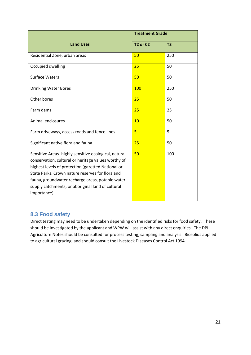|                                                                                                                                                                                                                                                                                                                                                | <b>Treatment Grade</b>           |                |
|------------------------------------------------------------------------------------------------------------------------------------------------------------------------------------------------------------------------------------------------------------------------------------------------------------------------------------------------|----------------------------------|----------------|
| <b>Land Uses</b>                                                                                                                                                                                                                                                                                                                               | T <sub>2</sub> or C <sub>2</sub> | T <sub>3</sub> |
| Residential Zone, urban areas                                                                                                                                                                                                                                                                                                                  | 50                               | 250            |
| Occupied dwelling                                                                                                                                                                                                                                                                                                                              | 25                               | 50             |
| <b>Surface Waters</b>                                                                                                                                                                                                                                                                                                                          | 50                               | 50             |
| <b>Drinking Water Bores</b>                                                                                                                                                                                                                                                                                                                    | 100                              | 250            |
| Other bores                                                                                                                                                                                                                                                                                                                                    | 25                               | 50             |
| Farm dams                                                                                                                                                                                                                                                                                                                                      | 25                               | 25             |
| Animal enclosures                                                                                                                                                                                                                                                                                                                              | 10                               | 50             |
| Farm driveways, access roads and fence lines                                                                                                                                                                                                                                                                                                   | $\overline{5}$                   | 5              |
| Significant native flora and fauna                                                                                                                                                                                                                                                                                                             | 25                               | 50             |
| Sensitive Areas-highly sensitive ecological, natural,<br>conservation, cultural or heritage values worthy of<br>highest levels of protection (gazetted National or<br>State Parks, Crown nature reserves for flora and<br>fauna, groundwater recharge areas, potable water<br>supply catchments, or aboriginal land of cultural<br>importance) | 50                               | 100            |

### <span id="page-20-0"></span>**8.3 Food safety**

Direct testing may need to be undertaken depending on the identified risks for food safety. These should be investigated by the applicant and WPW will assist with any direct enquiries. The DPI Agriculture Notes should be consulted for process testing, sampling and analysis. Biosolids applied to agricultural grazing land should consult the Livestock Diseases Control Act 1994.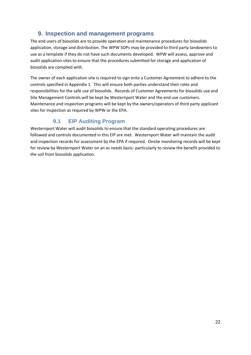# <span id="page-21-0"></span>**9. Inspection and management programs**

The end users of biosolids are to provide operation and maintenance procedures for biosolids application, storage and distribution. The WPW SOPs may be provided to third party landowners to use as a template if they do not have such documents developed. WPW will assess, approve and audit application sites to ensure that the procedures submitted for storage and application of biosolids are complied with.

The owner of each application site is required to sign onto a Customer Agreement to adhere to the controls specified in Appendix 1. This will ensure both parties understand their roles and responsibilities for the safe use of biosolids. Records of Customer Agreements for biosolids use and Site Management Controls will be kept by Westernport Water and the end use customers. Maintenance and inspection programs will be kept by the owners/operators of third party applicant sites for inspection as required by WPW or the EPA.

# **9.1 EIP Auditing Program**

<span id="page-21-1"></span>Westernport Water will audit biosolids to ensure that the standard operating procedures are followed and controls documented in this EIP are met. Westernport Water will maintain the audit and inspection records for assessment by the EPA if required. Onsite monitoring records will be kept for review by Westernport Water on an as needs basis- particularly to review the benefit provided to the soil from biosolids application.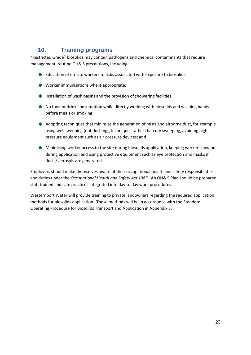# <span id="page-22-0"></span>**10. Training programs**

"Restricted Grade" biosolids may contain pathogens and chemical contaminants that require management, routine OH& S precautions, including:

- Education of on-site workers to risks associated with exposure to biosolids
- Worker immunisations where appropriate;
- **Installation of wash basins and the provision of showering facilities;**
- No food or drink consumption while directly working with biosolids and washing hands before meals or smoking;
- Adopting techniques that minimise the generation of mists and airborne dust, for example using wet sweeping (not flushing techniques rather than dry sweeping, avoiding high pressure equipment such as air pressure devices; and
- Minimising worker access to the site during biosolids application, keeping workers upwind during application and using protective equipment such as eye protection and masks if dusts/ aerosols are generated.

Employers should make themselves aware of their occupational health and safety responsibilities and duties under the *Occupational Health and Safety Act 1985*. An OH& S Plan should be prepared, staff trained and safe practices integrated into day to day work procedures.

Westernport Water will provide training to private landowners regarding the required application methods for biosolids application. These methods will be in accordance with the Standard Operating Procedure for Biosolids Transport and Application in Appendix 3.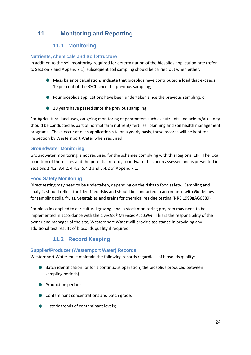# <span id="page-23-1"></span><span id="page-23-0"></span>**11. Monitoring and Reporting**

# **11.1 Monitoring**

#### <span id="page-23-2"></span>**Nutrients, chemicals and Soil Structure**

In addition to the soil monitoring required for determination of the biosolids application rate (refer to Section 7 and Appendix 1), subsequent soil sampling should be carried out when either:

- Mass balance calculations indicate that biosolids have contributed a load that exceeds 10 per cent of the RSCL since the previous sampling;
- Four biosolids applications have been undertaken since the previous sampling; or
- 20 years have passed since the previous sampling

For Agricultural land uses, on-going monitoring of parameters such as nutrients and acidity/alkalinity should be conducted as part of normal farm nutrient/ fertiliser planning and soil health management programs. These occur at each application site on a yearly basis, these records will be kept for inspection by Westernport Water when required.

#### <span id="page-23-3"></span>**Groundwater Monitoring**

Groundwater monitoring is not required for the schemes complying with this Regional EIP. The local condition of these sites and the potential risk to groundwater has been assessed and is presented in Sections 2.4.2, 3.4.2, 4.4.2, 5.4.2 and 6.4.2 of Appendix 1.

#### <span id="page-23-4"></span>**Food Safety Monitoring**

Direct testing may need to be undertaken, depending on the risks to food safety. Sampling and analysis should reflect the identified risks and should be conducted in accordance with Guidelines for sampling soils, fruits, vegetables and grains for chemical residue testing (NRE 1999#AG0889).

For biosolids applied to agricultural grazing land, a stock monitoring program may need to be implemented in accordance with the *Livestock Diseases Act 1994*. This is the responsibility of the owner and manager of the site, Westernport Water will provide assistance in providing any additional test results of biosolids quality if required.

# **11.2 Record Keeping**

#### <span id="page-23-6"></span><span id="page-23-5"></span>**Supplier/Producer (Westernport Water) Records**

Westernport Water must maintain the following records regardless of biosolids quality:

- Batch identification (or for a continuous operation, the biosolids produced between sampling periods)
- **Production period;**
- **Contaminant concentrations and batch grade;**
- Historic trends of contaminant levels;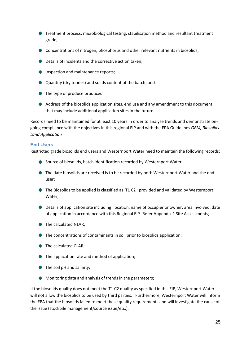- Treatment process, microbiological testing, stabilisation method and resultant treatment grade;
- Concentrations of nitrogen, phosphorus and other relevant nutrients in biosolids;
- Details of incidents and the corrective action taken;
- Inspection and maintenance reports:
- Quantity (dry tonnes) and solids content of the batch; and
- **●** The type of produce produced.
- Address of the biosolids application sites, end use and any amendment to this document that may include additional application sites in the future

Records need to be maintained for at least 10 years in order to analyse trends and demonstrate ongoing compliance with the objectives in this regional EIP and with the EPA Guidelines *GEM; Biosolids Land Application*

#### <span id="page-24-0"></span>**End Users**

Restricted grade biosolids end users and Westernport Water need to maintain the following records:

- Source of biosolids, batch identification recorded by Westernport Water
- The date biosolids are received is to be recorded by both Westernport Water and the end user;
- The Biosolids to be applied is classified as T1 C2 provided and validated by Westernport Water;
- Details of application site including: location, name of occupier or owner, area involved, date of application in accordance with this Regional EIP- Refer Appendix 1 Site Assessments;
- The calculated NLAR;
- The concentrations of contaminants in soil prior to biosolids application;
- The calculated CLAR;
- **●** The application rate and method of application;
- The soil pH and salinity;
- Monitoring data and analysis of trends in the parameters;

If the biosolids quality does not meet the T1 C2 quality as specified in this EIP, Westernport Water will not allow the biosolids to be used by third parties. Furthermore, Westernport Water will inform the EPA that the biosolids failed to meet these quality requirements and will investigate the cause of the issue (stockpile management/source issue/etc.).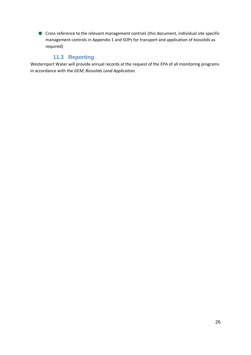Cross reference to the relevant management controls (this document, individual site specific management controls in Appendix 1 and SOPs for transport and application of biosolids as required)

### **11.3 Reporting**

<span id="page-25-0"></span>Westernport Water will provide annual records at the request of the EPA of all monitoring programs in accordance with the *GEM; Biosolids Land Application.*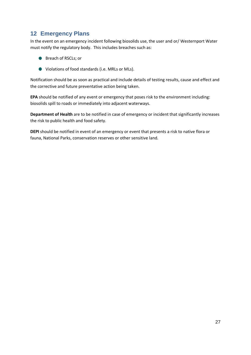# <span id="page-26-0"></span>**12 Emergency Plans**

In the event on an emergency incident following biosolids use, the user and or/ Westernport Water must notify the regulatory body. This includes breaches such as:

- Breach of RSCLs; or
- Violations of food standards (i.e. MRLs or MLs).

Notification should be as soon as practical and include details of testing results, cause and effect and the corrective and future preventative action being taken.

**EPA** should be notified of any event or emergency that poses risk to the environment including: biosolids spill to roads or immediately into adjacent waterways.

**Department of Health** are to be notified in case of emergency or incident that significantly increases the risk to public health and food safety.

**DEPI** should be notified in event of an emergency or event that presents a risk to native flora or fauna, National Parks, conservation reserves or other sensitive land.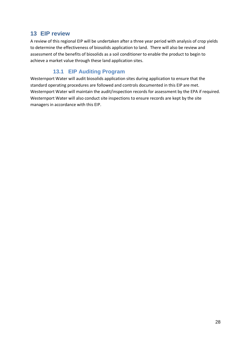# <span id="page-27-0"></span>**13 EIP review**

A review of this regional EIP will be undertaken after a three year period with analysis of crop yields to determine the effectiveness of biosolids application to land. There will also be review and assessment of the benefits of biosolids as a soil conditioner to enable the product to begin to achieve a market value through these land application sites.

# **13.1 EIP Auditing Program**

<span id="page-27-1"></span>Westernport Water will audit biosolids application sites during application to ensure that the standard operating procedures are followed and controls documented in this EIP are met. Westernport Water will maintain the audit/inspection records for assessment by the EPA if required. Westernport Water will also conduct site inspections to ensure records are kept by the site managers in accordance with this EIP.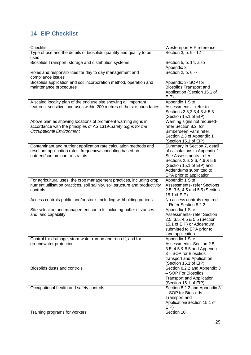# <span id="page-28-0"></span>**14 EIP Checklist**

| Checklist                                                                                                                                                          | Westernport EIP reference                                                                                                                                                                                   |
|--------------------------------------------------------------------------------------------------------------------------------------------------------------------|-------------------------------------------------------------------------------------------------------------------------------------------------------------------------------------------------------------|
| Type of use and the details of biosolids quantity and quality to be<br>used                                                                                        | Section 3, p. 9 - 12                                                                                                                                                                                        |
| Biosolids Transport, storage and distribution systems                                                                                                              | Section 5, p. 14, also<br>Appendix 3                                                                                                                                                                        |
| Roles and responsibilities for day to day management and<br>compliance issues                                                                                      | Section 2, p. 6 -7                                                                                                                                                                                          |
| Biosolids application and soil incorporation method, operation and<br>maintenance procedures                                                                       | Appendix 3- SOP for<br><b>Biosolids Transport and</b><br>Application (Section 15.1 of<br>EIP                                                                                                                |
| A scaled locality plan of the end use site showing all important<br>features, sensitive land uses within 200 metres of the site boundaries                         | Appendix 1 Site<br>Assessments - refer to<br>Sections 2.3, 3.3, 4.3 & 5.3<br>(Section 15.1 of EIP)                                                                                                          |
| Above plan as showing locations of prominent warning signs in<br>accordance with the principles of AS 1319-Safety Signs for the<br><b>Occupational Environment</b> | Warning signs not required-<br>refer Section 8.2; for<br>Bimberdeen Farm refer<br>Section 2.3 of Appendix 1<br>(Section 15.1 of EIP)                                                                        |
| Contaminant and nutrient application rate calculation methods and<br>resultant application rates, frequency/scheduling based on<br>nutrient/contaminant restraints | Summary in Section 7, detail<br>of calculations in Appendix 1<br>Site Assessments- refer<br>Sections 2.6, 3.6, 4.6 & 5.6<br>(Section 15.1 of EIP) and<br>Addendums submitted to<br>EPA prior to application |
| For agricultural uses, the crop management practices, including crop<br>nutrient utilisation practices, soil salinity, soil structure and productivity<br>controls | Appendix 1 Site<br><b>Assessments- refer Sections</b><br>2.5, 3.5, 4.5 and 5.5 (Section<br>15.1 of EIP)                                                                                                     |
| Access controls-public and/or stock, including withholding periods                                                                                                 | No access controls required<br>- Refer Section 8.2.2                                                                                                                                                        |
| Site selection and management controls including buffer distances<br>and land capability                                                                           | Appendix 1 Site<br><b>Assessments-refer Section</b><br>2.5, 3.5, 4.5 & 5.5 (Section<br>15.1 of EIP) or Addendum<br>submitted to EPA prior to<br>land application                                            |
| Control for drainage, stormwater run-on and run-off, and for<br>groundwater protection                                                                             | Appendix 1 Site<br>Assessments- Section 2.5,<br>3.5, 4.5 & 5.5 and Appendix<br>3 - SOP for Biosolids<br>transport and Application<br>(Section 15.1 of EIP)                                                  |
| Biosolids dusts and controls                                                                                                                                       | Section 8.2.2 and Appendix 3<br>- SOP For Biosolids<br><b>Transport and Application</b><br>(Section 15.1 of EIP)                                                                                            |
| Occupational health and safety controls                                                                                                                            | Section 8.2.2 and Appendix 3<br>- SOP for Biosolids<br>Transport and<br>Application(Section 15.1 of<br>EIP                                                                                                  |
| Training programs for workers                                                                                                                                      | Section 10                                                                                                                                                                                                  |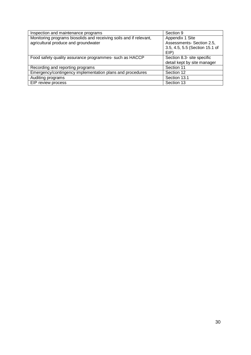| Inspection and maintenance programs                                                                        | Section 9                                                                              |
|------------------------------------------------------------------------------------------------------------|----------------------------------------------------------------------------------------|
| Monitoring programs biosolids and receiving soils and if relevant,<br>agricultural produce and groundwater | Appendix 1 Site<br>Assessments- Section 2.5,<br>3.5, 4.5, 5.5 (Section 15.1 of<br>EIP) |
| Food safety quality assurance programmes- such as HACCP                                                    | Section 8.3- site specific<br>detail kept by site manager                              |
| Recording and reporting programs                                                                           | Section 11                                                                             |
| Emergency/contingency implementation plans and procedures                                                  | Section 12                                                                             |
| Auditing programs                                                                                          | Section 13.1                                                                           |
| EIP review process                                                                                         | Section 13                                                                             |